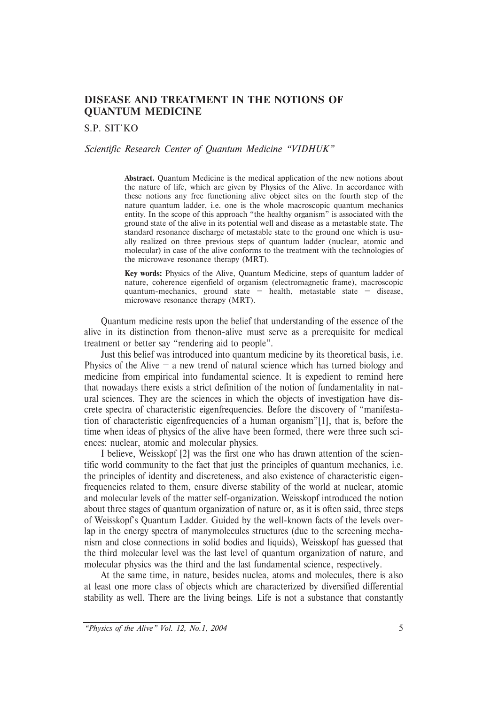# **DISEASE AND TREATMENT IN THE NOTIONS OF QUANTUM MEDICINE**

## S.P. SIT`KO

# *Scientific Research Center of Quantum Medicine "VIDHUK"*

**Abstract.** Quantum Medicine is the medical application of the new notions about the nature of life, which are given by Physics of the Alive. In accordance with these notions any free functioning alive object sites on the fourth step of the nature quantum ladder, i.e. one is the whole macroscopic quantum mechanics entity. In the scope of this approach "the healthy organism" is associated with the ground state of the alive in its potential well and disease as a metastable state. The standard resonance discharge of metastable state to the ground one which is usually realized on three previous steps of quantum ladder (nuclear, atomic and molecular) in case of the alive conforms to the treatment with the technologies of the microwave resonance therapy (MRT).

**Key words:** Physics of the Alive, Quantum Medicine, steps of quantum ladder of nature, coherence eigenfield of organism (electromagnetic frame), macroscopic quantum-mechanics, ground state – health, metastable state – disease, microwave resonance therapy (MRT).

Quantum medicine rests upon the belief that understanding of the essence of the alive in its distinction from thenon-alive must serve as a prerequisite for medical treatment or better say "rendering aid to people".

Just this belief was introduced into quantum medicine by its theoretical basis, i.e. Physics of the Alive – a new trend of natural science which has turned biology and medicine from empirical into fundamental science. It is expedient to remind here that nowadays there exists a strict definition of the notion of fundamentality in natural sciences. They are the sciences in which the objects of investigation have discrete spectra of characteristic eigenfrequencies. Before the discovery of "manifestation of characteristic eigenfrequencies of a human organism"[1], that is, before the time when ideas of physics of the alive have been formed, there were three such sciences: nuclear, atomic and molecular physics.

I believe, Weisskopf [2] was the first one who has drawn attention of the scientific world community to the fact that just the principles of quantum mechanics, i.e. the principles of identity and discreteness, and also existence of characteristic eigenfrequencies related to them, ensure diverse stability of the world at nuclear, atomic and molecular levels of the matter self-organization. Weisskopf introduced the notion about three stages of quantum organization of nature or, as it is often said, three steps of Weisskopf`s Quantum Ladder. Guided by the well-known facts of the levels overlap in the energy spectra of manymolecules structures (due to the screening mechanism and close connections in solid bodies and liquids), Weisskopf has guessed that the third molecular level was the last level of quantum organization of nature, and molecular physics was the third and the last fundamental science, respectively.

At the same time, in nature, besides nuclea, atoms and molecules, there is also at least one more class of objects which are characterized by diversified differential stability as well. There are the living beings. Life is not a substance that constantly

*<sup>&</sup>quot;Physics of the Alive" Vol. 12, No.1, 2004* 5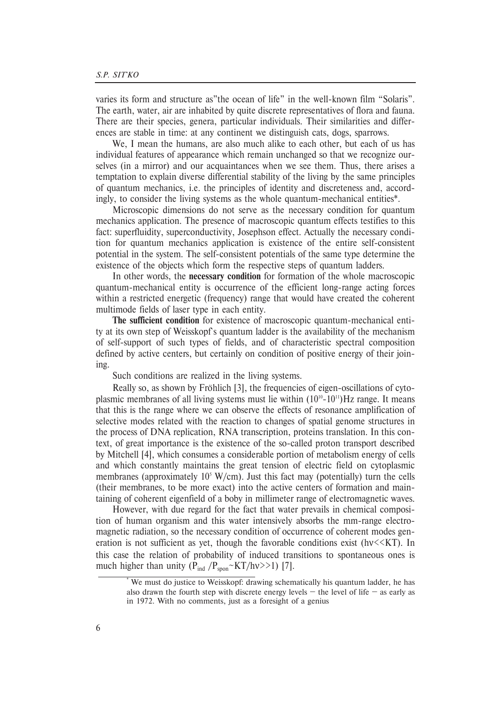varies its form and structure as"the ocean of life" in the well-known film "Solaris". The earth, water, air are inhabited by quite discrete representatives of flora and fauna. There are their species, genera, particular individuals. Their similarities and differences are stable in time: at any continent we distinguish cats, dogs, sparrows.

We, I mean the humans, are also much alike to each other, but each of us has individual features of appearance which remain unchanged so that we recognize ourselves (in a mirror) and our acquaintances when we see them. Thus, there arises a temptation to explain diverse differential stability of the living by the same principles of quantum mechanics, i.e. the principles of identity and discreteness and, accordingly, to consider the living systems as the whole quantum-mechanical entities\*.

Microscopic dimensions do not serve as the necessary condition for quantum mechanics application. The presence of macroscopic quantum effects testifies to this fact: superfluidity, superconductivity, Josephson effect. Actually the necessary condition for quantum mechanics application is existence of the entire self-consistent potential in the system. The self-consistent potentials of the same type determine the existence of the objects which form the respective steps of quantum ladders.

In other words, the **necessary condition** for formation of the whole macroscopic quantum-mechanical entity is occurrence of the efficient long-range acting forces within a restricted energetic (frequency) range that would have created the coherent multimode fields of laser type in each entity.

**The sufficient condition** for existence of macroscopic quantum-mechanical entity at its own step of Weisskopf`s quantum ladder is the availability of the mechanism of self-support of such types of fields, and of characteristic spectral composition defined by active centers, but certainly on condition of positive energy of their joining.

Such conditions are realized in the living systems.

Really so, as shown by Fröhlich [3], the frequencies of eigen-oscillations of cytoplasmic membranes of all living systems must lie within  $(10^{10} - 10^{11})$  Hz range. It means that this is the range where we can observe the effects of resonance amplification of selective modes related with the reaction to changes of spatial genome structures in the process of DNA replication, RNA transcription, proteins translation. In this context, of great importance is the existence of the so-called proton transport described by Mitchell [4], which consumes a considerable portion of metabolism energy of cells and which constantly maintains the great tension of electric field on cytoplasmic membranes (approximately  $10^5$  W/cm). Just this fact may (potentially) turn the cells (their membranes, to be more exact) into the active centers of formation and maintaining of coherent eigenfield of a boby in millimeter range of electromagnetic waves.

However, with due regard for the fact that water prevails in chemical composition of human organism and this water intensively absorbs the mm-range electromagnetic radiation, so the necessary condition of occurrence of coherent modes generation is not sufficient as yet, though the favorable conditions exist ( $hv<). In$ this case the relation of probability of induced transitions to spontaneous ones is much higher than unity  $(P_{ind}/P_{spon} \sim KT/hv \gg 1)$  [7].

We must do justice to Weisskopf: drawing schematically his quantum ladder, he has also drawn the fourth step with discrete energy levels – the level of life – as early as in 1972. With no comments, just as a foresight of a genius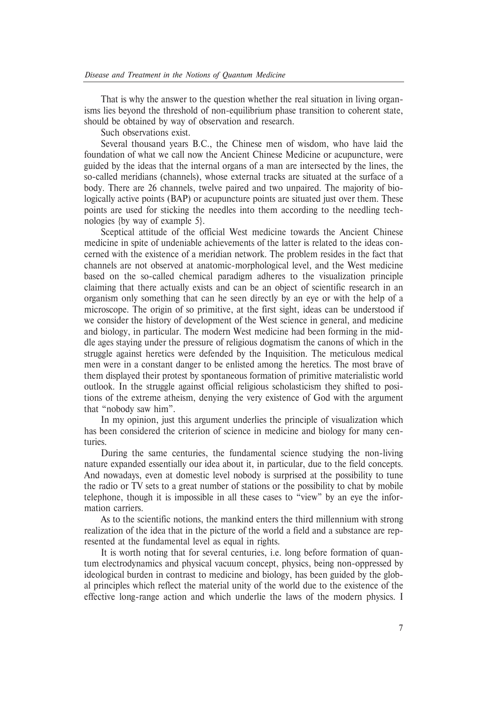That is why the answer to the question whether the real situation in living organisms lies beyond the threshold of non-equilibrium phase transition to coherent state, should be obtained by way of observation and research.

Such observations exist.

Several thousand years B.C., the Chinese men of wisdom, who have laid the foundation of what we call now the Ancient Chinese Medicine or acupuncture, were guided by the ideas that the internal organs of a man are intersected by the lines, the so-called meridians (channels), whose external tracks are situated at the surface of a body. There are 26 channels, twelve paired and two unpaired. The majority of biologically active points (BAP) or acupuncture points are situated just over them. These points are used for sticking the needles into them according to the needling technologies {by way of example 5}.

Sceptical attitude of the official West medicine towards the Ancient Chinese medicine in spite of undeniable achievements of the latter is related to the ideas concerned with the existence of a meridian network. The problem resides in the fact that channels are not observed at anatomic-morphological level, and the West medicine based on the so-called chemical paradigm adheres to the visualization principle claiming that there actually exists and can be an object of scientific research in an organism only something that can he seen directly by an eye or with the help of a microscope. The origin of so primitive, at the first sight, ideas can be understood if we consider the history of development of the West science in general, and medicine and biology, in particular. The modern West medicine had been forming in the middle ages staying under the pressure of religious dogmatism the canons of which in the struggle against heretics were defended by the Inquisition. The meticulous medical men were in a constant danger to be enlisted among the heretics. The most brave of them displayed their protest by spontaneous formation of primitive materialistic world outlook. In the struggle against official religious scholasticism they shifted to positions of the extreme atheism, denying the very existence of God with the argument that "nobody saw him".

In my opinion, just this argument underlies the principle of visualization which has been considered the criterion of science in medicine and biology for many centuries.

During the same centuries, the fundamental science studying the non-living nature expanded essentially our idea about it, in particular, due to the field concepts. And nowadays, even at domestic level nobody is surprised at the possibility to tune the radio or TV sets to a great number of stations or the possibility to chat by mobile telephone, though it is impossible in all these cases to "view" by an eye the information carriers.

As to the scientific notions, the mankind enters the third millennium with strong realization of the idea that in the picture of the world a field and a substance are represented at the fundamental level as equal in rights.

It is worth noting that for several centuries, i.e. long before formation of quantum electrodynamics and physical vacuum concept, physics, being non-oppressed by ideological burden in contrast to medicine and biology, has been guided by the global principles which reflect the material unity of the world due to the existence of the effective long-range action and which underlie the laws of the modern physics. I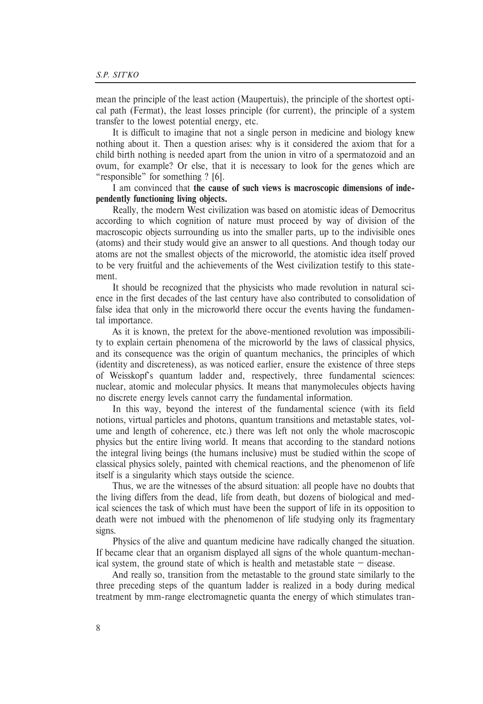mean the principle of the least action (Maupertuis), the principle of the shortest optical path (Fermat), the least losses principle (for current), the principle of a system transfer to the lowest potential energy, etc.

It is difficult to imagine that not a single person in medicine and biology knew nothing about it. Then a question arises: why is it considered the axiom that for a child birth nothing is needed apart from the union in vitro of a spermatozoid and an ovum, for example? Or else, that it is necessary to look for the genes which are "responsible" for something ? [6].

I am convinced that **the cause of such views is macroscopic dimensions of independently functioning living objects.**

Really, the modern West civilization was based on atomistic ideas of Democritus according to which cognition of nature must proceed by way of division of the macroscopic objects surrounding us into the smaller parts, up to the indivisible ones (atoms) and their study would give an answer to all questions. And though today our atoms are not the smallest objects of the microworld, the atomistic idea itself proved to be very fruitful and the achievements of the West civilization testify to this statement.

It should be recognized that the physicists who made revolution in natural science in the first decades of the last century have also contributed to consolidation of false idea that only in the microworld there occur the events having the fundamental importance.

As it is known, the pretext for the above-mentioned revolution was impossibility to explain certain phenomena of the microworld by the laws of classical physics, and its consequence was the origin of quantum mechanics, the principles of which (identity and discreteness), as was noticed earlier, ensure the existence of three steps of Weisskopf`s quantum ladder and, respectively, three fundamental sciences: nuclear, atomic and molecular physics. It means that manymolecules objects having no discrete energy levels cannot carry the fundamental information.

In this way, beyond the interest of the fundamental science (with its field notions, virtual particles and photons, quantum transitions and metastable states, volume and length of coherence, etc.) there was left not only the whole macroscopic physics but the entire living world. It means that according to the standard notions the integral living beings (the humans inclusive) must be studied within the scope of classical physics solely, painted with chemical reactions, and the phenomenon of life itself is a singularity which stays outside the science.

Thus, we are the witnesses of the absurd situation: all people have no doubts that the living differs from the dead, life from death, but dozens of biological and medical sciences the task of which must have been the support of life in its opposition to death were not imbued with the phenomenon of life studying only its fragmentary signs.

Physics of the alive and quantum medicine have radically changed the situation. If became clear that an organism displayed all signs of the whole quantum-mechanical system, the ground state of which is health and metastable state  $-$  disease.

And really so, transition from the metastable to the ground state similarly to the three preceding steps of the quantum ladder is realized in a body during medical treatment by mm-range electromagnetic quanta the energy of which stimulates tran-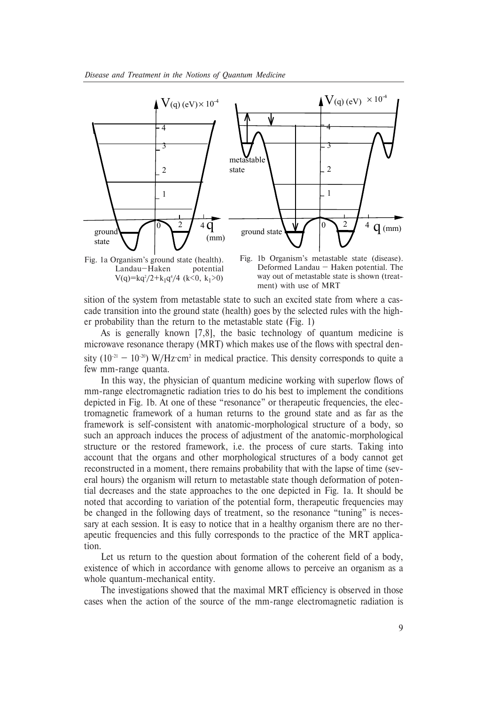

Fig. 1a Organism's ground state (health). Landau–Haken potential  $V(q)=kq^2/2+k_1q^4/4$  (k<0, k<sub>1</sub>>0)

Fig. 1b Organism's metastable state (disease). Deformed Landau – Haken potential. The way out of metastable state is shown (treatment) with use of MRT

sition of the system from metastable state to such an excited state from where a cascade transition into the ground state (health) goes by the selected rules with the higher probability than the return to the metastable state (Fig. 1)

As is generally known [7,8], the basic technology of quantum medicine is microwave resonance therapy (MRT) which makes use of the flows with spectral density  $(10^{-21} - 10^{-20})$  W/Hz·cm<sup>2</sup> in medical practice. This density corresponds to quite a few mm-range quanta.

In this way, the physician of quantum medicine working with superlow flows of mm-range electromagnetic radiation tries to do his best to implement the conditions depicted in Fig. 1b. At one of these "resonance" or therapeutic frequencies, the electromagnetic framework of a human returns to the ground state and as far as the framework is self-consistent with anatomic-morphological structure of a body, so such an approach induces the process of adjustment of the anatomic-morphological structure or the restored framework, i.e. the process of cure starts. Taking into account that the organs and other morphological structures of a body cannot get reconstructed in a moment, there remains probability that with the lapse of time (several hours) the organism will return to metastable state though deformation of potential decreases and the state approaches to the one depicted in Fig. 1a. It should be noted that according to variation of the potential form, therapeutic frequencies may be changed in the following days of treatment, so the resonance "tuning" is necessary at each session. It is easy to notice that in a healthy organism there are no therapeutic frequencies and this fully corresponds to the practice of the MRT application.

Let us return to the question about formation of the coherent field of a body, existence of which in accordance with genome allows to perceive an organism as a whole quantum-mechanical entity.

The investigations showed that the maximal MRT efficiency is observed in those cases when the action of the source of the mm-range electromagnetic radiation is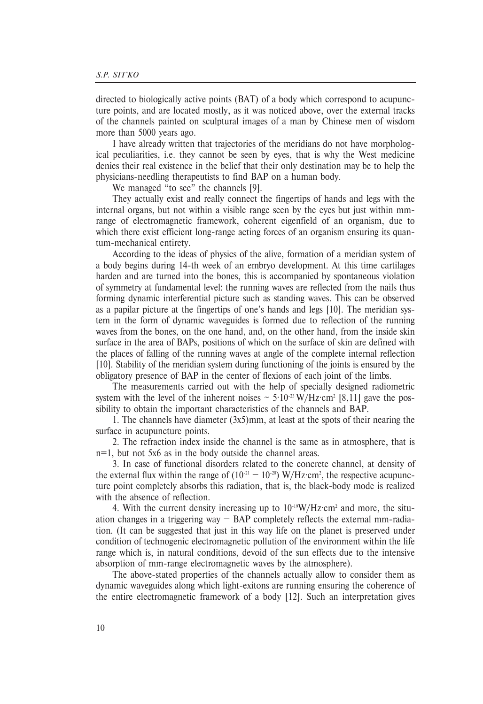directed to biologically active points (BAT) of a body which correspond to acupuncture points, and are located mostly, as it was noticed above, over the external tracks of the channels painted on sculptural images of a man by Chinese men of wisdom more than 5000 years ago.

I have already written that trajectories of the meridians do not have morphological peculiarities, i.e. they cannot be seen by eyes, that is why the West medicine denies their real existence in the belief that their only destination may be to help the physicians-needling therapeutists to find BAP on a human body.

We managed "to see" the channels [9].

They actually exist and really connect the fingertips of hands and legs with the internal organs, but not within a visible range seen by the eyes but just within mmrange of electromagnetic framework, coherent eigenfield of an organism, due to which there exist efficient long-range acting forces of an organism ensuring its quantum-mechanical entirety.

According to the ideas of physics of the alive, formation of a meridian system of a body begins during 14-th week of an embryo development. At this time cartilages harden and are turned into the bones, this is accompanied by spontaneous violation of symmetry at fundamental level: the running waves are reflected from the nails thus forming dynamic interferential picture such as standing waves. This can be observed as a papilar picture at the fingertips of one's hands and legs [10]. The meridian system in the form of dynamic waveguides is formed due to reflection of the running waves from the bones, on the one hand, and, on the other hand, from the inside skin surface in the area of BAPs, positions of which on the surface of skin are defined with the places of falling of the running waves at angle of the complete internal reflection [10]. Stability of the meridian system during functioning of the joints is ensured by the obligatory presence of BAP in the center of flexions of each joint of the limbs.

The measurements carried out with the help of specially designed radiometric system with the level of the inherent noises  $\sim 5.10^{32} \text{W}/\text{Hz} \cdot \text{cm}^2$  [8,11] gave the possibility to obtain the important characteristics of the channels and BAP.

1. The channels have diameter (3x5)mm, at least at the spots of their nearing the surface in acupuncture points.

2. The refraction index inside the channel is the same as in atmosphere, that is n=1, but not 5x6 as in the body outside the channel areas.

3. In case of functional disorders related to the concrete channel, at density of the external flux within the range of  $(10^{-21} - 10^{-20})$  W/Hz·cm<sup>2</sup>, the respective acupuncture point completely absorbs this radiation, that is, the black-body mode is realized with the absence of reflection.

4. With the current density increasing up to  $10^{-19}$ W/Hz·cm<sup>2</sup> and more, the situation changes in a triggering way  $-$  BAP completely reflects the external mm-radiation. (It can be suggested that just in this way life on the planet is preserved under condition of technogenic electromagnetic pollution of the environment within the life range which is, in natural conditions, devoid of the sun effects due to the intensive absorption of mm-range electromagnetic waves by the atmosphere).

The above-stated properties of the channels actually allow to consider them as dynamic waveguides along which light-exitons are running ensuring the coherence of the entire electromagnetic framework of a body [12]. Such an interpretation gives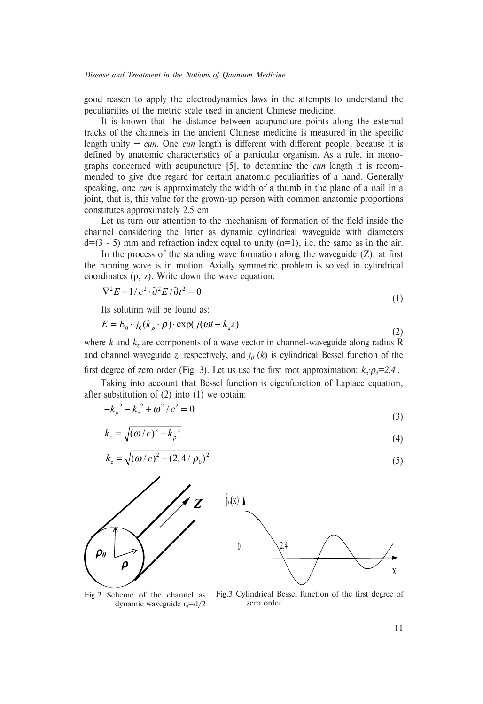good reason to apply the electrodynamics laws in the attempts to understand the peculiarities of the metric scale used in ancient Chinese medicine.

It is known that the distance between acupuncture points along the external tracks of the channels in the ancient Chinese medicine is measured in the specific length unity – *cun*. One *cun* length is different with different people, because it is defined by anatomic characteristics of a particular organism. As a rule, in monographs concerned with acupuncture [5], to determine the *cun* length it is recommended to give due regard for certain anatomic peculiarities of a hand. Generally speaking, one *cun* is approximately the width of a thumb in the plane of a nail in a joint, that is, this value for the grown-up person with common anatomic proportions constitutes approximately 2.5 cm.

Let us turn our attention to the mechanism of formation of the field inside the channel considering the latter as dynamic cylindrical waveguide with diameters  $d=(3 - 5)$  mm and refraction index equal to unity  $(n=1)$ , i.e. the same as in the air.

In the process of the standing wave formation along the waveguide  $(Z)$ , at first the running wave is in motion. Axially symmetric problem is solved in cylindrical coordinates (p, z). Write down the wave equation:

$$
\nabla^2 E - 1/c^2 \cdot \partial^2 E / \partial t^2 = 0
$$
 (1)

Its solutinn will be found as:

$$
E = E_0 \cdot j_0 (k_\rho \cdot \rho) \cdot \exp(j(\omega t - k_z z))
$$
\n(2)

where  $k$  and  $k_z$  are components of a wave vector in channel-waveguide along radius R and channel waveguide *z*, respectively, and  $j<sub>0</sub>$  (*k*) is cylindrical Bessel function of the first degree of zero order (Fig. 3). Let us use the first root approximation:  $k_p \cdot \rho_o = 2.4$ .

Taking into account that Bessel function is eigenfunction of Laplace equation, after substitution of (2) into (1) we obtain:

$$
-k_{\rho}^{2} - k_{z}^{2} + \omega^{2}/c^{2} = 0
$$
\n(3)

$$
k_z = \sqrt{(\omega/c)^2 - k_\rho^2}
$$
 (4)

$$
k_z = \sqrt{(\omega/c)^2 - (2.4/\rho_0)^2}
$$
 (5)





Fig.2 Scheme of the channel as dynamic waveguide  $r_0 = d/2$ 

Fig.3 Cylindrical Bessel function of the first degree of zero order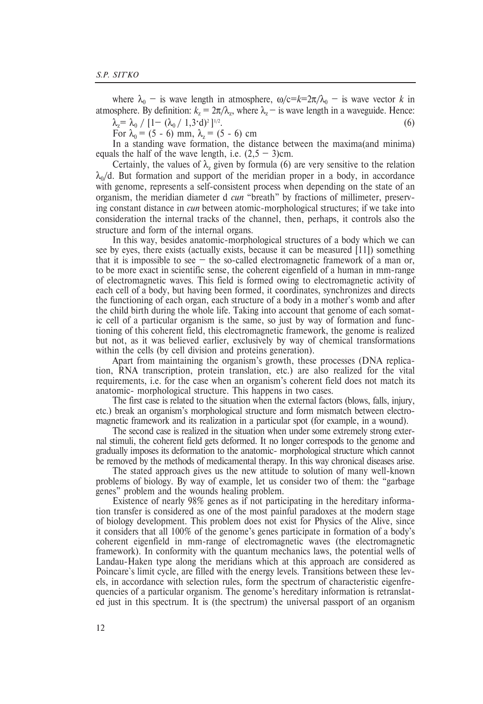where  $\lambda_0$  – is wave length in atmosphere,  $\omega/c = k = 2\pi/\lambda_0$  – is wave vector *k* in atmosphere. By definition:  $k_z = 2\pi/\lambda_z$ , where  $\lambda_z$  – is wave length in a waveguide. Hence:  $\lambda_2 = \lambda_0 / [1 - (\lambda_0 / 1, 3 \cdot d)^2]$  $\frac{1}{2}$ . (6)

For  $\lambda_0 = (5 - 6)$  mm,  $\lambda_7 = (5 - 6)$  cm

In a standing wave formation, the distance between the maxima(and minima) equals the half of the wave length, i.e.  $(2.5 - 3)$ cm.

Certainly, the values of  $\lambda_z$  given by formula (6) are very sensitive to the relation  $\lambda_0/d$ . But formation and support of the meridian proper in a body, in accordance with genome, represents a self-consistent process when depending on the state of an organism, the meridian diameter d *cun* "breath" by fractions of millimeter, preserving constant distance in *cun* between atomic-morphological structures; if we take into consideration the internal tracks of the channel, then, perhaps, it controls also the structure and form of the internal organs.

In this way, besides anatomic-morphological structures of a body which we can see by eyes, there exists (actually exists, because it can be measured [11]) something that it is impossible to see  $-$  the so-called electromagnetic framework of a man or, to be more exact in scientific sense, the coherent eigenfield of a human in mm-range of electromagnetic waves. This field is formed owing to electromagnetic activity of each cell of a body, but having been formed, it coordinates, synchronizes and directs the functioning of each organ, each structure of a body in a mother's womb and after the child birth during the whole life. Taking into account that genome of each somatic cell of a particular organism is the same, so just by way of formation and functioning of this coherent field, this electromagnetic framework, the genome is realized but not, as it was believed earlier, exclusively by way of chemical transformations within the cells (by cell division and proteins generation).

Apart from maintaining the organism's growth, these processes (DNA replication, RNA transcription, protein translation, etc.) are also realized for the vital requirements, i.e. for the case when an organism's coherent field does not match its anatomic- morphological structure. This happens in two cases.

The first case is related to the situation when the external factors (blows, falls, injury, etc.) break an organism's morphological structure and form mismatch between electromagnetic framework and its realization in a particular spot (for example, in a wound).

The second case is realized in the situation when under some extremely strong external stimuli, the coherent field gets deformed. It no longer correspods to the genome and gradually imposes its deformation to the anatomic- morphological structure which cannot be removed by the methods of medicamental therapy. In this way chronical diseases arise.

The stated approach gives us the new attitude to solution of many well-known problems of biology. By way of example, let us consider two of them: the "garbage genes" problem and the wounds healing problem.

Existence of nearly 98% genes as if not participating in the hereditary information transfer is considered as one of the most painful paradoxes at the modern stage of biology development. This problem does not exist for Physics of the Alive, since it considers that all 100% of the genome's genes participate in formation of a body's coherent eigenfield in mm-range of electromagnetic waves (the electromagnetic framework). In conformity with the quantum mechanics laws, the potential wells of Landau-Haken type along the meridians which at this approach are considered as Poincare`s limit cycle, are filled with the energy levels. Transitions between these levels, in accordance with selection rules, form the spectrum of characteristic eigenfrequencies of a particular organism. The genome's hereditary information is retranslated just in this spectrum. It is (the spectrum) the universal passport of an organism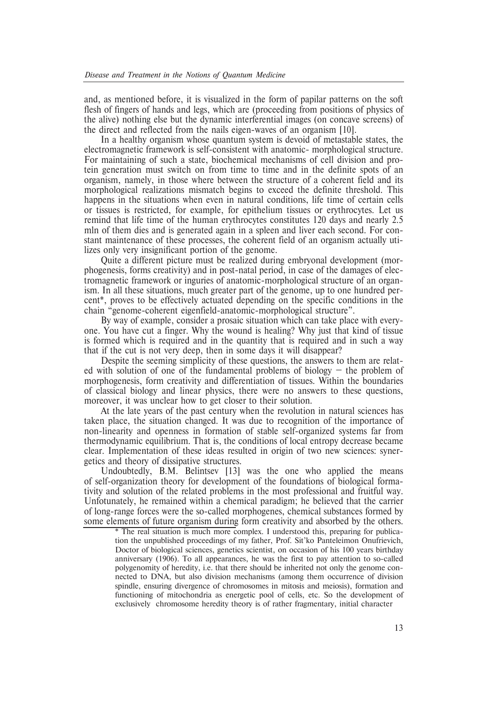and, as mentioned before, it is visualized in the form of papilar patterns on the soft flesh of fingers of hands and legs, which are (proceeding from positions of physics of the alive) nothing else but the dynamic interferential images (on concave screens) of the direct and reflected from the nails eigen-waves of an organism [10].

In a healthy organism whose quantum system is devoid of metastable states, the electromagnetic framework is self-consistent with anatomic- morphological structure. For maintaining of such a state, biochemical mechanisms of cell division and protein generation must switch on from time to time and in the definite spots of an organism, namely, in those where between the structure of a coherent field and its morphological realizations mismatch begins to exceed the definite threshold. This happens in the situations when even in natural conditions, life time of certain cells or tissues is restricted, for example, for epithelium tissues or erythrocytes. Let us remind that life time of the human erythrocytes constitutes 120 days and nearly 2.5 mln of them dies and is generated again in a spleen and liver each second. For constant maintenance of these processes, the coherent field of an organism actually utilizes only very insignificant portion of the genome.

Quite a different picture must be realized during embryonal development (morphogenesis, forms creativity) and in post-natal period, in case of the damages of electromagnetic framework or inguries of anatomic-morphological structure of an organism. In all these situations, much greater part of the genome, up to one hundred percent\*, proves to be effectively actuated depending on the specific conditions in the chain "genome-coherent eigenfield-anatomic-morphological structure".

By way of example, consider a prosaic situation which can take place with everyone. You have cut a finger. Why the wound is healing? Why just that kind of tissue is formed which is required and in the quantity that is required and in such a way that if the cut is not very deep, then in some days it will disappear?

Despite the seeming simplicity of these questions, the answers to them are related with solution of one of the fundamental problems of biology – the problem of morphogenesis, form creativity and differentiation of tissues. Within the boundaries of classical biology and linear physics, there were no answers to these questions, moreover, it was unclear how to get closer to their solution.

At the late years of the past century when the revolution in natural sciences has taken place, the situation changed. It was due to recognition of the importance of non-linearity and openness in formation of stable self-organized systems far from thermodynamic equilibrium. That is, the conditions of local entropy decrease became clear. Implementation of these ideas resulted in origin of two new sciences: synergetics and theory of dissipative structures.

Undoubtedly, B.M. Belintsev [13] was the one who applied the means of self-organization theory for development of the foundations of biological formativity and solution of the related problems in the most professional and fruitful way. Unfotunately, he remained within a chemical paradigm; he believed that the carrier of long-range forces were the so-called morphogenes, chemical substances formed by some elements of future organism during form creativity and absorbed by the others.

\* The real situation is much more complex. I understood this, preparing for publication the unpublished proceedings of my father, Prof. Sit'ko Panteleimon Onufrievich, Doctor of biological sciences, genetics scientist, on occasion of his 100 years birthday anniversary (1906). To all appearances, he was the first to pay attention to so-called polygenomity of heredity, i.e. that there should be inherited not only the genome connected to DNA, but also division mechanisms (among them occurrence of division spindle, ensuring divergence of chromosomes in mitosis and meiosis), formation and functioning of mitochondria as energetic pool of cells, etc. So the development of exclusively chromosome heredity theory is of rather fragmentary, initial character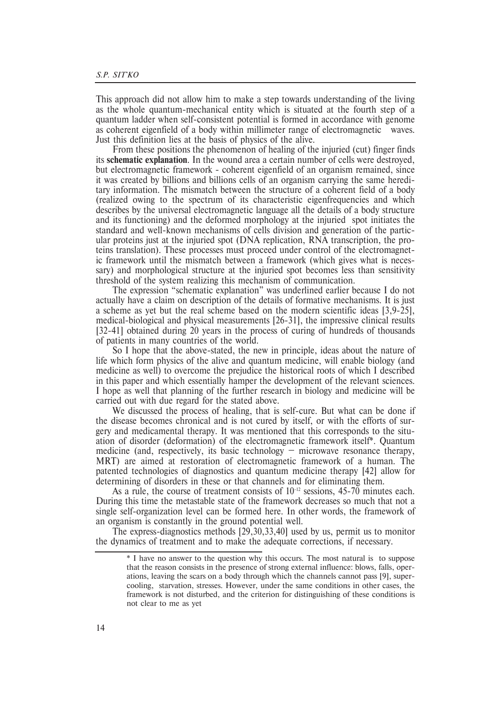This approach did not allow him to make a step towards understanding of the living as the whole quantum-mechanical entity which is situated at the fourth step of a quantum ladder when self-consistent potential is formed in accordance with genome as coherent eigenfield of a body within millimeter range of electromagnetic waves. Just this definition lies at the basis of physics of the alive.

From these positions the phenomenon of healing of the injuried (cut) finger finds its **schematic explanation**. In the wound area a certain number of cells were destroyed, but electromagnetic framework - coherent eigenfield of an organism remained, since it was created by billions and billions cells of an organism carrying the same hereditary information. The mismatch between the structure of a coherent field of a body (realized owing to the spectrum of its characteristic eigenfrequencies and which describes by the universal electromagnetic language all the details of a body structure and its functioning) and the deformed morphology at the injuried spot initiates the standard and well-known mechanisms of cells division and generation of the particular proteins just at the injuried spot (DNA replication, RNA transcription, the proteins translation). These processes must proceed under control of the electromagnetic framework until the mismatch between a framework (which gives what is necessary) and morphological structure at the injuried spot becomes less than sensitivity threshold of the system realizing this mechanism of communication.

The expression "schematic explanation" was underlined earlier because I do not actually have a claim on description of the details of formative mechanisms. It is just a scheme as yet but the real scheme based on the modern scientific ideas [3,9-25], medical-biological and physical measurements [26-31], the impressive clinical results [32-41] obtained during 20 years in the process of curing of hundreds of thousands of patients in many countries of the world.

So I hope that the above-stated, the new in principle, ideas about the nature of life which form physics of the alive and quantum medicine, will enable biology (and medicine as well) to overcome the prejudice the historical roots of which I described in this paper and which essentially hamper the development of the relevant sciences. I hope as well that planning of the further research in biology and medicine will be carried out with due regard for the stated above.

We discussed the process of healing, that is self-cure. But what can be done if the disease becomes chronical and is not cured by itself, or with the efforts of surgery and medicamental therapy. It was mentioned that this corresponds to the situation of disorder (deformation) of the electromagnetic framework itself\*. Quantum medicine (and, respectively, its basic technology – microwave resonance therapy, MRT) are aimed at restoration of electromagnetic framework of a human. The patented technologies of diagnostics and quantum medicine therapy [42] allow for determining of disorders in these or that channels and for eliminating them.

As a rule, the course of treatment consists of  $10^{-12}$  sessions, 45-70 minutes each. During this time the metastable state of the framework decreases so much that not a single self-organization level can be formed here. In other words, the framework of an organism is constantly in the ground potential well.

The express-diagnostics methods [29,30,33,40] used by us, permit us to monitor the dynamics of treatment and to make the adequate corrections, if necessary.

<sup>\*</sup> I have no answer to the question why this occurs. The most natural is to suppose that the reason consists in the presence of strong external influence: blows, falls, operations, leaving the scars on a body through which the channels cannot pass [9], supercooling, starvation, stresses. However, under the same conditions in other cases, the framework is not disturbed, and the criterion for distinguishing of these conditions is not clear to me as yet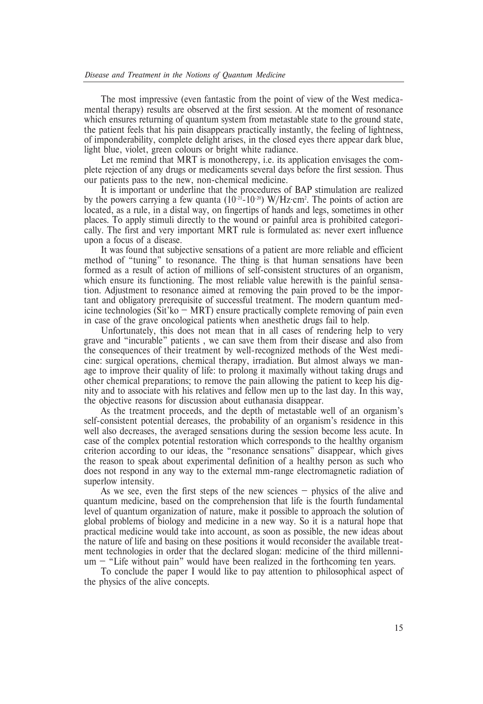The most impressive (even fantastic from the point of view of the West medicamental therapy) results are observed at the first session. At the moment of resonance which ensures returning of quantum system from metastable state to the ground state, the patient feels that his pain disappears practically instantly, the feeling of lightness, of imponderability, complete delight arises, in the closed eyes there appear dark blue, light blue, violet, green colours or bright white radiance.

Let me remind that MRT is monotherepy, i.e. its application envisages the complete rejection of any drugs or medicaments several days before the first session. Thus our patients pass to the new, non-chemical medicine.

It is important or underline that the procedures of BAP stimulation are realized by the powers carrying a few quanta  $(10^{-21}-10^{-20})$  W/Hz $\cdot$ cm<sup>2</sup>. The points of action are located, as a rule, in a distal way, on fingertips of hands and legs, sometimes in other places. To apply stimuli directly to the wound or painful area is prohibited categorically. The first and very important MRT rule is formulated as: never exert influence upon a focus of a disease.

It was found that subjective sensations of a patient are more reliable and efficient method of "tuning" to resonance. The thing is that human sensations have been formed as a result of action of millions of self-consistent structures of an organism, which ensure its functioning. The most reliable value herewith is the painful sensation. Adjustment to resonance aimed at removing the pain proved to be the important and obligatory prerequisite of successful treatment. The modern quantum medicine technologies (Sit'ko – MRT) ensure practically complete removing of pain even in case of the grave oncological patients when anesthetic drugs fail to help.

Unfortunately, this does not mean that in all cases of rendering help to very grave and "incurable" patients , we can save them from their disease and also from the consequences of their treatment by well-recognized methods of the West medicine: surgical operations, chemical therapy, irradiation. But almost always we manage to improve their quality of life: to prolong it maximally without taking drugs and other chemical preparations; to remove the pain allowing the patient to keep his dignity and to associate with his relatives and fellow men up to the last day. In this way, the objective reasons for discussion about euthanasia disappear.

As the treatment proceeds, and the depth of metastable well of an organism's self-consistent potential dereases, the probability of an organism's residence in this well also decreases, the averaged sensations during the session become less acute. In case of the complex potential restoration which corresponds to the healthy organism criterion according to our ideas, the "resonance sensations" disappear, which gives the reason to speak about experimental definition of a healthy person as such who does not respond in any way to the external mm-range electromagnetic radiation of superlow intensity.

As we see, even the first steps of the new sciences – physics of the alive and quantum medicine, based on the comprehension that life is the fourth fundamental level of quantum organization of nature, make it possible to approach the solution of global problems of biology and medicine in a new way. So it is a natural hope that practical medicine would take into account, as soon as possible, the new ideas about the nature of life and basing on these positions it would reconsider the available treatment technologies in order that the declared slogan: medicine of the third millenni $um - "Life without pain" would have been realized in the forthcoming ten years.$ 

To conclude the paper I would like to pay attention to philosophical aspect of the physics of the alive concepts.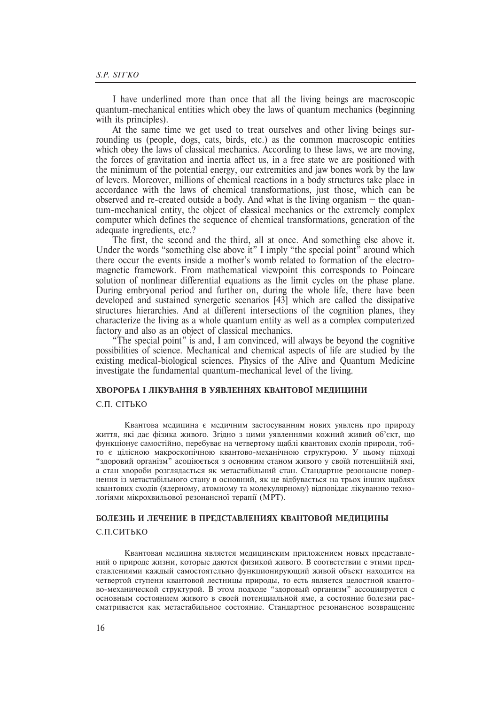I have underlined more than once that all the living beings are macroscopic quantum-mechanical entities which obey the laws of quantum mechanics (beginning with its principles).

At the same time we get used to treat ourselves and other living beings surrounding us (people, dogs, cats, birds, etc.) as the common macroscopic entities which obey the laws of classical mechanics. According to these laws, we are moving, the forces of gravitation and inertia affect us, in a free state we are positioned with the minimum of the potential energy, our extremities and jaw bones work by the law of levers. Moreover, millions of chemical reactions in a body structures take place in accordance with the laws of chemical transformations, just those, which can be observed and re-created outside a body. And what is the living organism – the quantum-mechanical entity, the object of classical mechanics or the extremely complex computer which defines the sequence of chemical transformations, generation of the adequate ingredients, etc.?

The first, the second and the third, all at once. And something else above it. Under the words "something else above it" I imply "the special point" around which there occur the events inside a mother's womb related to formation of the electromagnetic framework. From mathematical viewpoint this corresponds to Poincare solution of nonlinear differential equations as the limit cycles on the phase plane. During embryonal period and further on, during the whole life, there have been developed and sustained synergetic scenarios [43] which are called the dissipative structures hierarchies. And at different intersections of the cognition planes, they characterize the living as a whole quantum entity as well as a complex computerized factory and also as an object of classical mechanics.

"The special point" is and, I am convinced, will always be beyond the cognitive possibilities of science. Mechanical and chemical aspects of life are studied by the existing medical-biological sciences. Physics of the Alive and Quantum Medicine investigate the fundamental quantum-mechanical level of the living.

### ХВОРОРБА І ЛІКУВАННЯ В УЯВЛЕННЯХ КВАНТОВОЇ МЕДИЦИНИ

### С.П. СІТЬКО

Квантова медицина є медичним застосуванням нових уявлень про природу життя, які дає фізика живого. Згідно з цими уявленнями кожний живий об'єкт, що функціонує самостійно, перебуває на четвертому щаблі квантових сходів природи, тобто є цілісною макроскопічною квантово-механічною структурою. У цьому підході "здоровий організм" асоціюється з основним станом живого у своїй потенційній ямі, а стан хвороби розглядається як метастабільний стан. Стандартне резонансне повернення із метастабільного стану в основний, як це відбувається на трьох інших щаблях квантових сходів (ядерному, атомному та молекулярному) відповідає лікуванню технологіями мікрохвильової резонансної терапії (МРТ).

### **БОЛЕЗНЬ И ЛЕЧЕНИЕ В ПРЕДСТАВЛЕНИЯХ КВАНТОВОЙ МЕДИЦИНЫ**

#### С.П.СИТЬКО

Квантовая медицина является медицинским приложением новых представлений о природе жизни, которые даются физикой живого. В соответствии с этими представлениями каждый самостоятельно функционирующий живой объект находится на четвертой ступени квантовой лестницы природы, то есть является целостной квантово-механической структурой. В этом подходе "здоровый организм" ассоциируется с основным состоянием живого в своей потенциальной яме, а состояние болезни рассматривается как метастабильное состояние. Стандартное резонансное возвращение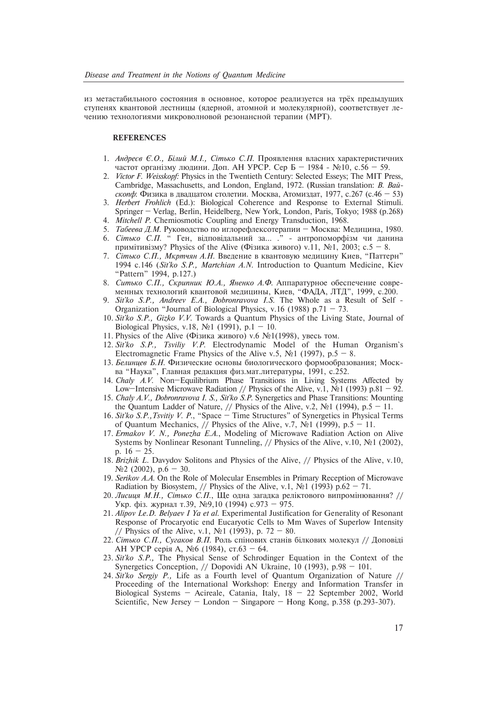из метастабильного состояния в основное, которое реализуется на трёх предыдущих ступенях квантовой лестницы (ядерной, атомной и молекулярной), соответствует лечению технологиями микроволновой резонансной терапии (МРТ).

#### **REFERENCES**

- 1. *Андреєв Є.О., Білий М.І., Сітько С.П.* Проявлення власних характеристичних частот організму людини. Доп. АН УРСР. Сер Б − 1984 - №10, с. $56 - 59$ .
- 2. *Victor F. Weisskopf:* Physics in the Twentieth Century: Selected Esseys; The MIT Press, Cambridge, Massachusetts, and London, England, 1972. (Russian translation: *B. Bauскопф*: Физика в двадцатом столетии. Москва, Атомиздат, 1977, с.267 (с.46 – 53)
- 3. *Herbert Frohlich* (Ed.): Biological Coherence and Response to External Stimuli. Springer - Verlag, Berlin, Heidelberg, New York, London, Paris, Tokyo; 1988 (p.268)
- 4. *Mitchell P*. Chemiosmotic Coupling and Energy Transduction, 1968.
- *Табеева Д.М.* Руководство по иглорефлексотерапии Москва: Медицина, 1980.
- 6. Сітько С.П. " Ген, відповідальний за... ." антропоморфізм чи данина примітивізму? Physics of the Alive (Фізика живого) v.11,  $N\ge 1$ , 2003; с.5 – 8.
- 7. *Сітько С.П., Мкртчян А.Н.* Введение в квантовую медицину Киев, "Паттерн" 1994 c.146 (*Sit'ko S.P., Martchian A.N.* Introduction to Quantum Medicine, Kiev "Pattern" 1994, p.127.)
- 8. *Ситько С.П., Скрипник Ю.А., Яненко А.Ф.* Аппаратурное обеспечение современных технологий квантовой медицины, Киев, "ФАДА, ЛТД", 1999, с.200.
- 9. *Sit`ko S.P., Andreev E.A., Dobronravova I.S*. The Whole as a Result of Self Organization "Journal of Biological Physics, v.16 (1988)  $p.71 - 73$ .
- 10. *Sit`ko S.P., Gizko V.V.* Towards a Quantum Physics of the Living State, Journal of Biological Physics, v.18,  $\mathbb{N}$ <sup>1</sup> (1991), p.1 – 10.
- 11. Physics of the Alive (Фізика живого) v.6 №1(1998), увесь том.
- 12. *Sit`ko S.P., Tsviliy V.P.* Electrodynamic Model of the Human Organism`s Electromagnetic Frame Physics of the Alive v.5,  $\mathbb{N}$  1 (1997), p.5 – 8.
- 13. *Белинцев Б.Н.* Физические основы биологического формообразования; Москва "Наука", Главная редакция физ.мат.литературы, 1991, с.252.
- 14. *Chaly A.V.* Non–Equilibrium Phase Transitions in Living Systems Affected by Low–Intensive Microwave Radiation // Physics of the Alive, v.1,  $\mathbb{N}$  (1993) p.81 – 92.
- 15. *Chaly A.V., Dobronravova I. S., Sit`ko S.P.* Synergetics and Phase Transitions: Mounting the Quantum Ladder of Nature, // Physics of the Alive, v.2,  $\mathbb{N}1$  (1994), p.5 – 11.
- 16. *Sit`ko S.P.,Tsvitiy V. P.*, "Space Time Structures" of Synergetics in Physical Terms of Quantum Mechanics, // Physics of the Alive, v.7,  $\mathbb{N}$  (1999), p.5 – 11.
- 17. *Ermakov V. N., Ponezha E.A.*, Modeling of Microwave Radiation Action on Alive Systems by Nonlinear Resonant Tunneling, // Physics of the Alive, v.10,  $\mathbb{N}$  1 (2002), p.  $16 - 25$ .
- 18. *Brizhik L.* Davydov Solitons and Physics of the Alive, // Physics of the Alive, v.10,  $\mathbb{N}^2$  (2002), p.6 – 30.
- 19. *Serikov A.A.* On the Role of Molecular Ensembles in Primary Reception of Microwave Radiation by Biosystem, // Physics of the Alive, v.1,  $\mathbb{N}$ 21 (1993) p.62 – 71.
- 20. Лисиця М.Н., Сітько С.П., Ще одна загадка реліктового випромінювання? // Укр. фіз. журнал т.39, №9,10 (1994) с.973 – 975.
- 21. *Alipov Le.D. Belyaev I Ya et al*. Experimental Justification for Generality of Resonant Response of Procaryotic end Eucaryotic Cells to Mm Waves of Superlow Intensity // Physics of the Alive, v.1,  $\mathbb{N}^2$  (1993), p. 72 – 80.
- 22. Сітько С.П., Сугаков В.П. Роль спінових станів білкових молекул // Доповіді AH УРСР серія А,  $N<sub>2</sub>6$  (1984), ст.63 – 64.
- 23. *Sit`ko S.P.,* The Physical Sense of Schrodinger Equation in the Context of the Synergetics Conception, // Dopovidi AN Ukraine, 10 (1993), p.98 – 101.
- 24. *Sit`ko Sergiy P.,* Life as a Fourth level of Quantum Organization of Nature // Proceeding of the International Workshop: Energy and Information Transfer in Biological Systems – Acireale, Catania, Italy,  $18 - 22$  September 2002, World Scientific, New Jersey – London – Singapore – Hong Kong, p.358 (p.293-307).